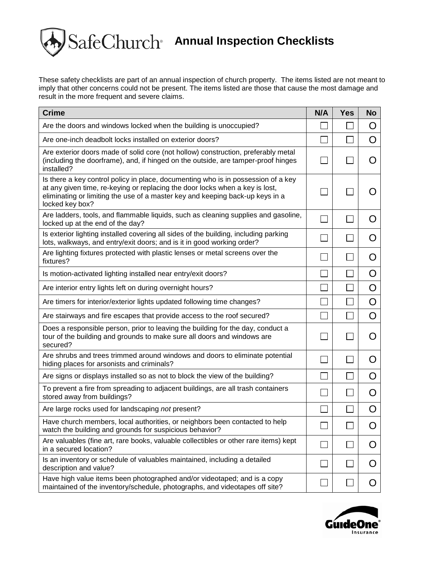## $SafeChurch<sup>*</sup>$  Annual Inspection Checklists

These safety checklists are part of an annual inspection of church property. The items listed are not meant to imply that other concerns could not be present. The items listed are those that cause the most damage and result in the more frequent and severe claims.

| <b>Crime</b>                                                                                                                                                                                                                                                          | N/A | <b>Yes</b> | <b>No</b>        |
|-----------------------------------------------------------------------------------------------------------------------------------------------------------------------------------------------------------------------------------------------------------------------|-----|------------|------------------|
| Are the doors and windows locked when the building is unoccupied?                                                                                                                                                                                                     |     |            | Ő                |
| Are one-inch deadbolt locks installed on exterior doors?                                                                                                                                                                                                              |     |            | O                |
| Are exterior doors made of solid core (not hollow) construction, preferably metal<br>(including the doorframe), and, if hinged on the outside, are tamper-proof hinges<br>installed?                                                                                  |     |            | Ő                |
| Is there a key control policy in place, documenting who is in possession of a key<br>at any given time, re-keying or replacing the door locks when a key is lost,<br>eliminating or limiting the use of a master key and keeping back-up keys in a<br>locked key box? |     |            | $\mathcal{L}$    |
| Are ladders, tools, and flammable liquids, such as cleaning supplies and gasoline,<br>locked up at the end of the day?                                                                                                                                                |     |            | $\left( \right)$ |
| Is exterior lighting installed covering all sides of the building, including parking<br>lots, walkways, and entry/exit doors; and is it in good working order?                                                                                                        |     |            | Ő                |
| Are lighting fixtures protected with plastic lenses or metal screens over the<br>fixtures?                                                                                                                                                                            |     |            | Ő                |
| Is motion-activated lighting installed near entry/exit doors?                                                                                                                                                                                                         |     |            | O                |
| Are interior entry lights left on during overnight hours?                                                                                                                                                                                                             |     |            | O                |
| Are timers for interior/exterior lights updated following time changes?                                                                                                                                                                                               |     |            | O                |
| Are stairways and fire escapes that provide access to the roof secured?                                                                                                                                                                                               |     |            | O                |
| Does a responsible person, prior to leaving the building for the day, conduct a<br>tour of the building and grounds to make sure all doors and windows are<br>secured?                                                                                                |     |            | O                |
| Are shrubs and trees trimmed around windows and doors to eliminate potential<br>hiding places for arsonists and criminals?                                                                                                                                            |     |            | O                |
| Are signs or displays installed so as not to block the view of the building?                                                                                                                                                                                          |     |            | O                |
| To prevent a fire from spreading to adjacent buildings, are all trash containers<br>stored away from buildings?                                                                                                                                                       |     |            | Ő                |
| Are large rocks used for landscaping not present?                                                                                                                                                                                                                     |     |            | O                |
| Have church members, local authorities, or neighbors been contacted to help<br>watch the building and grounds for suspicious behavior?                                                                                                                                |     |            | O                |
| Are valuables (fine art, rare books, valuable collectibles or other rare items) kept<br>in a secured location?                                                                                                                                                        |     |            | O                |
| Is an inventory or schedule of valuables maintained, including a detailed<br>description and value?                                                                                                                                                                   |     |            | Ő                |
| Have high value items been photographed and/or videotaped; and is a copy<br>maintained of the inventory/schedule, photographs, and videotapes off site?                                                                                                               |     |            | Ő                |

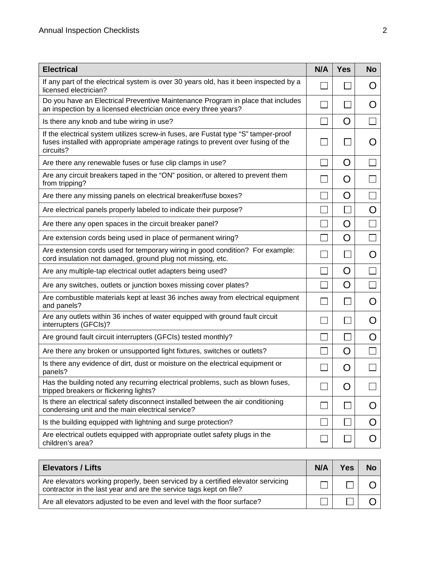| <b>Electrical</b>                                                                                                                                                                  | N/A | <b>Yes</b> | <b>No</b> |
|------------------------------------------------------------------------------------------------------------------------------------------------------------------------------------|-----|------------|-----------|
| If any part of the electrical system is over 30 years old, has it been inspected by a<br>licensed electrician?                                                                     |     |            | Ő         |
| Do you have an Electrical Preventive Maintenance Program in place that includes<br>an inspection by a licensed electrician once every three years?                                 |     |            | Ő         |
| Is there any knob and tube wiring in use?                                                                                                                                          |     | O          |           |
| If the electrical system utilizes screw-in fuses, are Fustat type "S" tamper-proof<br>fuses installed with appropriate amperage ratings to prevent over fusing of the<br>circuits? |     |            |           |
| Are there any renewable fuses or fuse clip clamps in use?                                                                                                                          |     | Ő          |           |
| Are any circuit breakers taped in the "ON" position, or altered to prevent them<br>from tripping?                                                                                  |     | O          |           |
| Are there any missing panels on electrical breaker/fuse boxes?                                                                                                                     |     | O          |           |
| Are electrical panels properly labeled to indicate their purpose?                                                                                                                  |     |            | O         |
| Are there any open spaces in the circuit breaker panel?                                                                                                                            |     | O          |           |
| Are extension cords being used in place of permanent wiring?                                                                                                                       |     | O          |           |
| Are extension cords used for temporary wiring in good condition? For example:<br>cord insulation not damaged, ground plug not missing, etc.                                        |     |            | Ő         |
| Are any multiple-tap electrical outlet adapters being used?                                                                                                                        |     | O          |           |
| Are any switches, outlets or junction boxes missing cover plates?                                                                                                                  |     | O          |           |
| Are combustible materials kept at least 36 inches away from electrical equipment<br>and panels?                                                                                    |     |            | O         |
| Are any outlets within 36 inches of water equipped with ground fault circuit<br>interrupters (GFCIs)?                                                                              |     |            | O         |
| Are ground fault circuit interrupters (GFCIs) tested monthly?                                                                                                                      |     |            | Ő         |
| Are there any broken or unsupported light fixtures, switches or outlets?                                                                                                           |     | O          |           |
| Is there any evidence of dirt, dust or moisture on the electrical equipment or<br>panels?                                                                                          |     | O          |           |
| Has the building noted any recurring electrical problems, such as blown fuses,<br>tripped breakers or flickering lights?                                                           |     | O          |           |
| Is there an electrical safety disconnect installed between the air conditioning<br>condensing unit and the main electrical service?                                                |     |            | Ő         |
| Is the building equipped with lightning and surge protection?                                                                                                                      |     |            | O         |
| Are electrical outlets equipped with appropriate outlet safety plugs in the<br>children's area?                                                                                    |     |            | Ő         |

| <b>Elevators / Lifts</b>                                                                                                                              | N/A | <b>Yes</b> | <b>No</b> |
|-------------------------------------------------------------------------------------------------------------------------------------------------------|-----|------------|-----------|
| Are elevators working properly, been serviced by a certified elevator servicing<br>contractor in the last year and are the service tags kept on file? |     |            |           |
| Are all elevators adjusted to be even and level with the floor surface?                                                                               |     |            |           |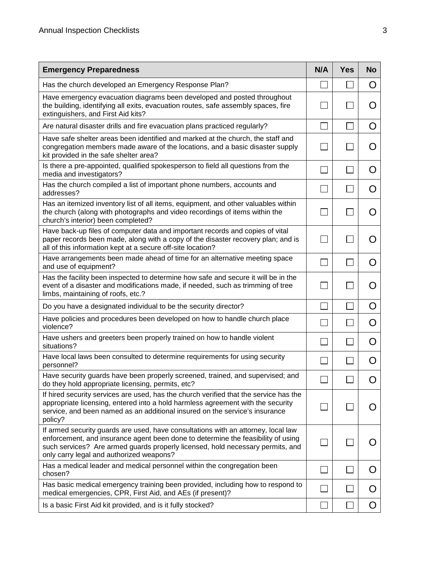| <b>Emergency Preparedness</b>                                                                                                                                                                                                                                                                       | N/A            | <b>Yes</b> | <b>No</b>        |
|-----------------------------------------------------------------------------------------------------------------------------------------------------------------------------------------------------------------------------------------------------------------------------------------------------|----------------|------------|------------------|
| Has the church developed an Emergency Response Plan?                                                                                                                                                                                                                                                |                |            | O                |
| Have emergency evacuation diagrams been developed and posted throughout<br>the building, identifying all exits, evacuation routes, safe assembly spaces, fire<br>extinguishers, and First Aid kits?                                                                                                 |                |            | Ő                |
| Are natural disaster drills and fire evacuation plans practiced regularly?                                                                                                                                                                                                                          |                |            | O                |
| Have safe shelter areas been identified and marked at the church, the staff and<br>congregation members made aware of the locations, and a basic disaster supply<br>kit provided in the safe shelter area?                                                                                          |                |            | Ő                |
| Is there a pre-appointed, qualified spokesperson to field all questions from the<br>media and investigators?                                                                                                                                                                                        |                |            | O                |
| Has the church compiled a list of important phone numbers, accounts and<br>addresses?                                                                                                                                                                                                               |                |            | Ő                |
| Has an itemized inventory list of all items, equipment, and other valuables within<br>the church (along with photographs and video recordings of items within the<br>church's interior) been completed?                                                                                             |                |            | $\mathcal{L}$    |
| Have back-up files of computer data and important records and copies of vital<br>paper records been made, along with a copy of the disaster recovery plan; and is<br>all of this information kept at a secure off-site location?                                                                    | $\blacksquare$ |            | $\left( \right)$ |
| Have arrangements been made ahead of time for an alternative meeting space<br>and use of equipment?                                                                                                                                                                                                 |                |            | Ő                |
| Has the facility been inspected to determine how safe and secure it will be in the<br>event of a disaster and modifications made, if needed, such as trimming of tree<br>limbs, maintaining of roofs, etc.?                                                                                         |                |            | $\left( \right)$ |
| Do you have a designated individual to be the security director?                                                                                                                                                                                                                                    |                |            | O                |
| Have policies and procedures been developed on how to handle church place<br>violence?                                                                                                                                                                                                              |                |            | Ő                |
| Have ushers and greeters been properly trained on how to handle violent<br>situations?                                                                                                                                                                                                              |                |            | Ő                |
| Have local laws been consulted to determine requirements for using security<br>personnel?                                                                                                                                                                                                           |                |            | O                |
| Have security guards have been properly screened, trained, and supervised; and<br>do they hold appropriate licensing, permits, etc?                                                                                                                                                                 |                |            | O                |
| If hired security services are used, has the church verified that the service has the<br>appropriate licensing, entered into a hold harmless agreement with the security<br>service, and been named as an additional insured on the service's insurance<br>policy?                                  | $\sim$         |            |                  |
| If armed security guards are used, have consultations with an attorney, local law<br>enforcement, and insurance agent been done to determine the feasibility of using<br>such services? Are armed guards properly licensed, hold necessary permits, and<br>only carry legal and authorized weapons? | $\sim$         |            | ( )              |
| Has a medical leader and medical personnel within the congregation been<br>chosen?                                                                                                                                                                                                                  |                |            | Ő                |
| Has basic medical emergency training been provided, including how to respond to<br>medical emergencies, CPR, First Aid, and AEs (if present)?                                                                                                                                                       |                |            | Ő                |
| Is a basic First Aid kit provided, and is it fully stocked?                                                                                                                                                                                                                                         |                |            | Ő                |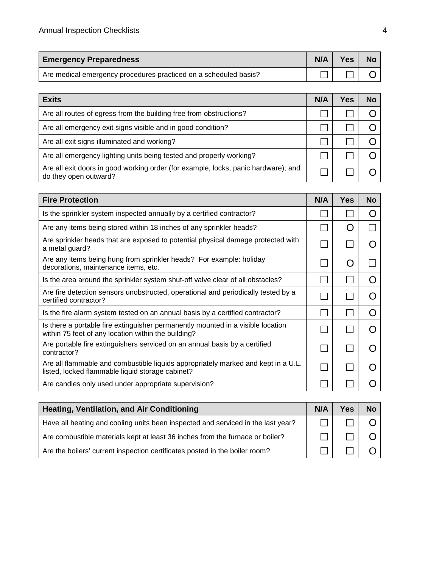| <b>Emergency Preparedness</b>                                    | N/A | <b>Yes</b> | <b>No</b> |
|------------------------------------------------------------------|-----|------------|-----------|
| Are medical emergency procedures practiced on a scheduled basis? |     |            |           |

| <b>Exits</b>                                                                                                | N/A | Yes | No |
|-------------------------------------------------------------------------------------------------------------|-----|-----|----|
| Are all routes of egress from the building free from obstructions?                                          |     |     |    |
| Are all emergency exit signs visible and in good condition?                                                 |     |     |    |
| Are all exit signs illuminated and working?                                                                 |     |     |    |
| Are all emergency lighting units being tested and properly working?                                         |     |     |    |
| Are all exit doors in good working order (for example, locks, panic hardware); and<br>do they open outward? |     |     |    |

| <b>Fire Protection</b>                                                                                                                 | N/A | <b>Yes</b> | <b>No</b> |
|----------------------------------------------------------------------------------------------------------------------------------------|-----|------------|-----------|
| Is the sprinkler system inspected annually by a certified contractor?                                                                  |     |            |           |
| Are any items being stored within 18 inches of any sprinkler heads?                                                                    |     | ( )        |           |
| Are sprinkler heads that are exposed to potential physical damage protected with<br>a metal guard?                                     |     |            |           |
| Are any items being hung from sprinkler heads? For example: holiday<br>decorations, maintenance items, etc.                            |     | ( )        |           |
| Is the area around the sprinkler system shut-off valve clear of all obstacles?                                                         |     |            |           |
| Are fire detection sensors unobstructed, operational and periodically tested by a<br>certified contractor?                             |     |            |           |
| Is the fire alarm system tested on an annual basis by a certified contractor?                                                          |     |            |           |
| Is there a portable fire extinguisher permanently mounted in a visible location<br>within 75 feet of any location within the building? |     |            |           |
| Are portable fire extinguishers serviced on an annual basis by a certified<br>contractor?                                              |     |            |           |
| Are all flammable and combustible liquids appropriately marked and kept in a U.L.<br>listed, locked flammable liquid storage cabinet?  |     |            |           |
| Are candles only used under appropriate supervision?                                                                                   |     |            |           |

| Heating, Ventilation, and Air Conditioning                                       | N/A | <b>Yes</b> | <b>No</b> |
|----------------------------------------------------------------------------------|-----|------------|-----------|
| Have all heating and cooling units been inspected and serviced in the last year? |     |            |           |
| Are combustible materials kept at least 36 inches from the furnace or boiler?    |     |            |           |
| Are the boilers' current inspection certificates posted in the boiler room?      |     |            |           |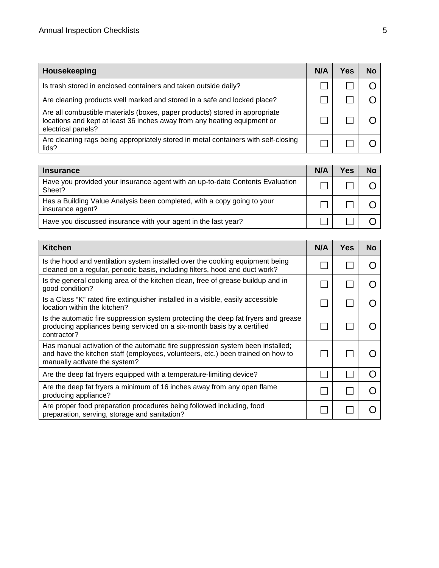| Housekeeping                                                                                                                                                                  | N/A | Yes | No |
|-------------------------------------------------------------------------------------------------------------------------------------------------------------------------------|-----|-----|----|
| Is trash stored in enclosed containers and taken outside daily?                                                                                                               |     |     |    |
| Are cleaning products well marked and stored in a safe and locked place?                                                                                                      |     |     |    |
| Are all combustible materials (boxes, paper products) stored in appropriate<br>locations and kept at least 36 inches away from any heating equipment or<br>electrical panels? |     |     |    |
| Are cleaning rags being appropriately stored in metal containers with self-closing<br>lids?                                                                                   |     |     |    |

| <b>Insurance</b>                                                                            | N/A | Yes | No |
|---------------------------------------------------------------------------------------------|-----|-----|----|
| Have you provided your insurance agent with an up-to-date Contents Evaluation<br>Sheet?     |     |     |    |
| Has a Building Value Analysis been completed, with a copy going to your<br>insurance agent? |     |     |    |
| Have you discussed insurance with your agent in the last year?                              |     |     |    |

| Kitchen                                                                                                                                                                                            | N/A | Yes | No |
|----------------------------------------------------------------------------------------------------------------------------------------------------------------------------------------------------|-----|-----|----|
| Is the hood and ventilation system installed over the cooking equipment being<br>cleaned on a regular, periodic basis, including filters, hood and duct work?                                      |     |     |    |
| Is the general cooking area of the kitchen clean, free of grease buildup and in<br>good condition?                                                                                                 |     |     |    |
| Is a Class "K" rated fire extinguisher installed in a visible, easily accessible<br>location within the kitchen?                                                                                   |     |     |    |
| Is the automatic fire suppression system protecting the deep fat fryers and grease<br>producing appliances being serviced on a six-month basis by a certified<br>contractor?                       |     |     |    |
| Has manual activation of the automatic fire suppression system been installed;<br>and have the kitchen staff (employees, volunteers, etc.) been trained on how to<br>manually activate the system? |     |     |    |
| Are the deep fat fryers equipped with a temperature-limiting device?                                                                                                                               |     |     |    |
| Are the deep fat fryers a minimum of 16 inches away from any open flame<br>producing appliance?                                                                                                    |     |     |    |
| Are proper food preparation procedures being followed including, food<br>preparation, serving, storage and sanitation?                                                                             |     |     |    |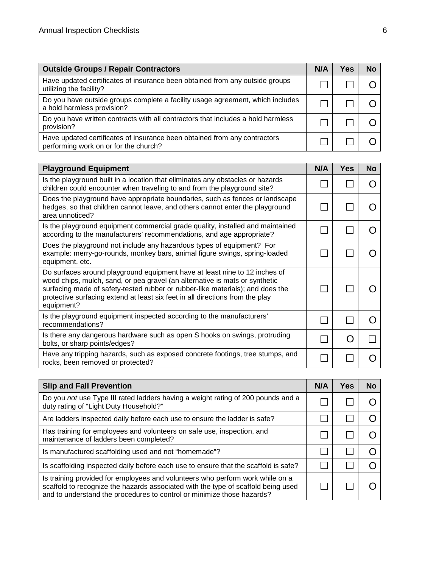| <b>Outside Groups / Repair Contractors</b>                                                                         | N/A | Yes | No |
|--------------------------------------------------------------------------------------------------------------------|-----|-----|----|
| Have updated certificates of insurance been obtained from any outside groups<br>utilizing the facility?            |     |     |    |
| Do you have outside groups complete a facility usage agreement, which includes<br>a hold harmless provision?       |     |     |    |
| Do you have written contracts with all contractors that includes a hold harmless<br>provision?                     |     |     |    |
| Have updated certificates of insurance been obtained from any contractors<br>performing work on or for the church? |     |     |    |

| <b>Playground Equipment</b>                                                                                                                                                                                                                                                                                                                | N/A | <b>Yes</b> | <b>No</b> |
|--------------------------------------------------------------------------------------------------------------------------------------------------------------------------------------------------------------------------------------------------------------------------------------------------------------------------------------------|-----|------------|-----------|
| Is the playground built in a location that eliminates any obstacles or hazards<br>children could encounter when traveling to and from the playground site?                                                                                                                                                                                 |     |            |           |
| Does the playground have appropriate boundaries, such as fences or landscape<br>hedges, so that children cannot leave, and others cannot enter the playground<br>area unnoticed?                                                                                                                                                           |     |            |           |
| Is the playground equipment commercial grade quality, installed and maintained<br>according to the manufacturers' recommendations, and age appropriate?                                                                                                                                                                                    |     |            |           |
| Does the playground not include any hazardous types of equipment? For<br>example: merry-go-rounds, monkey bars, animal figure swings, spring-loaded<br>equipment, etc.                                                                                                                                                                     |     |            |           |
| Do surfaces around playground equipment have at least nine to 12 inches of<br>wood chips, mulch, sand, or pea gravel (an alternative is mats or synthetic<br>surfacing made of safety-tested rubber or rubber-like materials); and does the<br>protective surfacing extend at least six feet in all directions from the play<br>equipment? |     |            |           |
| Is the playground equipment inspected according to the manufacturers'<br>recommendations?                                                                                                                                                                                                                                                  |     |            |           |
| Is there any dangerous hardware such as open S hooks on swings, protruding<br>bolts, or sharp points/edges?                                                                                                                                                                                                                                |     | ( )        |           |
| Have any tripping hazards, such as exposed concrete footings, tree stumps, and<br>rocks, been removed or protected?                                                                                                                                                                                                                        |     |            |           |

| <b>Slip and Fall Prevention</b>                                                                                                                                                                                                              | N/A | <b>Yes</b> | No |
|----------------------------------------------------------------------------------------------------------------------------------------------------------------------------------------------------------------------------------------------|-----|------------|----|
| Do you not use Type III rated ladders having a weight rating of 200 pounds and a<br>duty rating of "Light Duty Household?"                                                                                                                   |     |            |    |
| Are ladders inspected daily before each use to ensure the ladder is safe?                                                                                                                                                                    |     |            |    |
| Has training for employees and volunteers on safe use, inspection, and<br>maintenance of ladders been completed?                                                                                                                             |     |            |    |
| Is manufactured scaffolding used and not "homemade"?                                                                                                                                                                                         |     |            |    |
| Is scaffolding inspected daily before each use to ensure that the scaffold is safe?                                                                                                                                                          |     |            |    |
| Is training provided for employees and volunteers who perform work while on a<br>scaffold to recognize the hazards associated with the type of scaffold being used<br>and to understand the procedures to control or minimize those hazards? |     |            |    |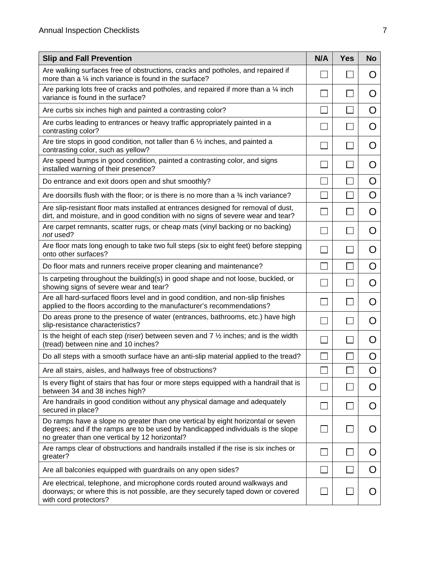| <b>Slip and Fall Prevention</b>                                                                                                                                                                                       | N/A | <b>Yes</b> | <b>No</b> |
|-----------------------------------------------------------------------------------------------------------------------------------------------------------------------------------------------------------------------|-----|------------|-----------|
| Are walking surfaces free of obstructions, cracks and potholes, and repaired if<br>more than a 1/4 inch variance is found in the surface?                                                                             |     |            | O         |
| Are parking lots free of cracks and potholes, and repaired if more than a $\frac{1}{4}$ inch<br>variance is found in the surface?                                                                                     |     |            | O         |
| Are curbs six inches high and painted a contrasting color?                                                                                                                                                            |     |            | O         |
| Are curbs leading to entrances or heavy traffic appropriately painted in a<br>contrasting color?                                                                                                                      |     |            | O         |
| Are tire stops in good condition, not taller than 6 $\frac{1}{2}$ inches, and painted a<br>contrasting color, such as yellow?                                                                                         |     |            | O         |
| Are speed bumps in good condition, painted a contrasting color, and signs<br>installed warning of their presence?                                                                                                     |     |            | O         |
| Do entrance and exit doors open and shut smoothly?                                                                                                                                                                    |     |            | O         |
| Are doorsills flush with the floor; or is there is no more than a 34 inch variance?                                                                                                                                   |     |            | O         |
| Are slip-resistant floor mats installed at entrances designed for removal of dust,<br>dirt, and moisture, and in good condition with no signs of severe wear and tear?                                                |     |            | O         |
| Are carpet remnants, scatter rugs, or cheap mats (vinyl backing or no backing)<br>not used?                                                                                                                           |     |            | Ő         |
| Are floor mats long enough to take two full steps (six to eight feet) before stepping<br>onto other surfaces?                                                                                                         |     |            | Ő         |
| Do floor mats and runners receive proper cleaning and maintenance?                                                                                                                                                    |     |            | O         |
| Is carpeting throughout the building(s) in good shape and not loose, buckled, or<br>showing signs of severe wear and tear?                                                                                            |     |            | O         |
| Are all hard-surfaced floors level and in good condition, and non-slip finishes<br>applied to the floors according to the manufacturer's recommendations?                                                             |     |            | Ő         |
| Do areas prone to the presence of water (entrances, bathrooms, etc.) have high<br>slip-resistance characteristics?                                                                                                    |     |            | Ő         |
| Is the height of each step (riser) between seven and $7\frac{1}{2}$ inches; and is the width<br>(tread) between nine and 10 inches?                                                                                   |     |            | Ő         |
| Do all steps with a smooth surface have an anti-slip material applied to the tread?                                                                                                                                   |     |            | O         |
| Are all stairs, aisles, and hallways free of obstructions?                                                                                                                                                            |     |            | O         |
| Is every flight of stairs that has four or more steps equipped with a handrail that is<br>between 34 and 38 inches high?                                                                                              |     |            | Ő         |
| Are handrails in good condition without any physical damage and adequately<br>secured in place?                                                                                                                       |     |            | O         |
| Do ramps have a slope no greater than one vertical by eight horizontal or seven<br>degrees; and if the ramps are to be used by handicapped individuals is the slope<br>no greater than one vertical by 12 horizontal? |     |            | ( )       |
| Are ramps clear of obstructions and handrails installed if the rise is six inches or<br>greater?                                                                                                                      |     |            | Ő         |
| Are all balconies equipped with guardrails on any open sides?                                                                                                                                                         |     |            | Ő         |
| Are electrical, telephone, and microphone cords routed around walkways and<br>doorways; or where this is not possible, are they securely taped down or covered<br>with cord protectors?                               |     |            |           |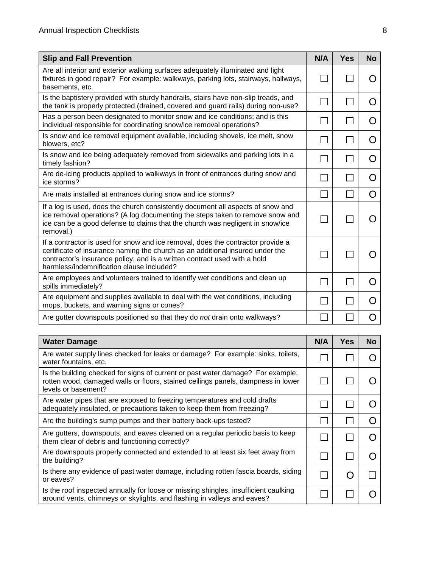| <b>Slip and Fall Prevention</b>                                                                                                                                                                                                                                                            | N/A | Yes | <b>No</b>          |
|--------------------------------------------------------------------------------------------------------------------------------------------------------------------------------------------------------------------------------------------------------------------------------------------|-----|-----|--------------------|
| Are all interior and exterior walking surfaces adequately illuminated and light<br>fixtures in good repair? For example: walkways, parking lots, stairways, hallways,<br>basements, etc.                                                                                                   |     |     |                    |
| Is the baptistery provided with sturdy handrails, stairs have non-slip treads, and<br>the tank is properly protected (drained, covered and guard rails) during non-use?                                                                                                                    |     |     |                    |
| Has a person been designated to monitor snow and ice conditions; and is this<br>individual responsible for coordinating snow/ice removal operations?                                                                                                                                       |     |     |                    |
| Is snow and ice removal equipment available, including shovels, ice melt, snow<br>blowers, etc?                                                                                                                                                                                            |     |     |                    |
| Is snow and ice being adequately removed from sidewalks and parking lots in a<br>timely fashion?                                                                                                                                                                                           |     |     |                    |
| Are de-icing products applied to walkways in front of entrances during snow and<br>ice storms?                                                                                                                                                                                             |     |     | $\left( \ \right)$ |
| Are mats installed at entrances during snow and ice storms?                                                                                                                                                                                                                                |     |     | ( )                |
| If a log is used, does the church consistently document all aspects of snow and<br>ice removal operations? (A log documenting the steps taken to remove snow and<br>ice can be a good defense to claims that the church was negligent in snow/ice<br>removal.)                             |     |     |                    |
| If a contractor is used for snow and ice removal, does the contractor provide a<br>certificate of insurance naming the church as an additional insured under the<br>contractor's insurance policy; and is a written contract used with a hold<br>harmless/indemnification clause included? |     |     |                    |
| Are employees and volunteers trained to identify wet conditions and clean up<br>spills immediately?                                                                                                                                                                                        |     |     |                    |
| Are equipment and supplies available to deal with the wet conditions, including<br>mops, buckets, and warning signs or cones?                                                                                                                                                              |     |     |                    |
| Are gutter downspouts positioned so that they do not drain onto walkways?                                                                                                                                                                                                                  |     |     |                    |

| <b>Water Damage</b>                                                                                                                                                                        | N/A | <b>Yes</b> | No |
|--------------------------------------------------------------------------------------------------------------------------------------------------------------------------------------------|-----|------------|----|
| Are water supply lines checked for leaks or damage? For example: sinks, toilets,<br>water fountains, etc.                                                                                  |     |            |    |
| Is the building checked for signs of current or past water damage? For example,<br>rotten wood, damaged walls or floors, stained ceilings panels, dampness in lower<br>levels or basement? |     |            |    |
| Are water pipes that are exposed to freezing temperatures and cold drafts<br>adequately insulated, or precautions taken to keep them from freezing?                                        |     |            |    |
| Are the building's sump pumps and their battery back-ups tested?                                                                                                                           |     |            |    |
| Are gutters, downspouts, and eaves cleaned on a regular periodic basis to keep<br>them clear of debris and functioning correctly?                                                          |     |            |    |
| Are downspouts properly connected and extended to at least six feet away from<br>the building?                                                                                             |     |            |    |
| Is there any evidence of past water damage, including rotten fascia boards, siding<br>or eaves?                                                                                            |     |            |    |
| Is the roof inspected annually for loose or missing shingles, insufficient caulking<br>around vents, chimneys or skylights, and flashing in valleys and eaves?                             |     |            |    |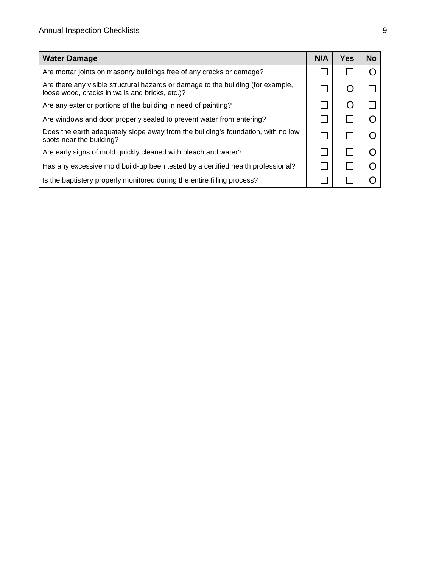| <b>Water Damage</b>                                                                                                                | <b>N/A</b> | Yes | <b>No</b> |
|------------------------------------------------------------------------------------------------------------------------------------|------------|-----|-----------|
| Are mortar joints on masonry buildings free of any cracks or damage?                                                               |            |     |           |
| Are there any visible structural hazards or damage to the building (for example,<br>loose wood, cracks in walls and bricks, etc.)? |            |     |           |
| Are any exterior portions of the building in need of painting?                                                                     |            |     |           |
| Are windows and door properly sealed to prevent water from entering?                                                               |            |     |           |
| Does the earth adequately slope away from the building's foundation, with no low<br>spots near the building?                       |            |     |           |
| Are early signs of mold quickly cleaned with bleach and water?                                                                     |            |     |           |
| Has any excessive mold build-up been tested by a certified health professional?                                                    |            |     |           |
| Is the baptistery properly monitored during the entire filling process?                                                            |            |     |           |